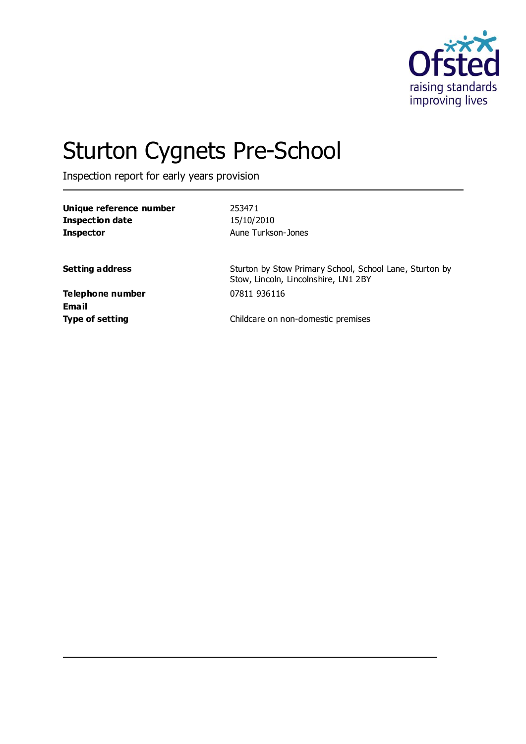

# Sturton Cygnets Pre-School

Inspection report for early years provision

| Unique reference number<br><b>Inspection date</b><br><b>Inspector</b> | 253471<br>15/10/2010<br>Aune Turkson-Jones                                                      |
|-----------------------------------------------------------------------|-------------------------------------------------------------------------------------------------|
| <b>Setting address</b>                                                | Sturton by Stow Primary School, School Lane, Sturton by<br>Stow, Lincoln, Lincolnshire, LN1 2BY |
| Telephone number<br>Email                                             | 07811 936116                                                                                    |
| <b>Type of setting</b>                                                | Childcare on non-domestic premises                                                              |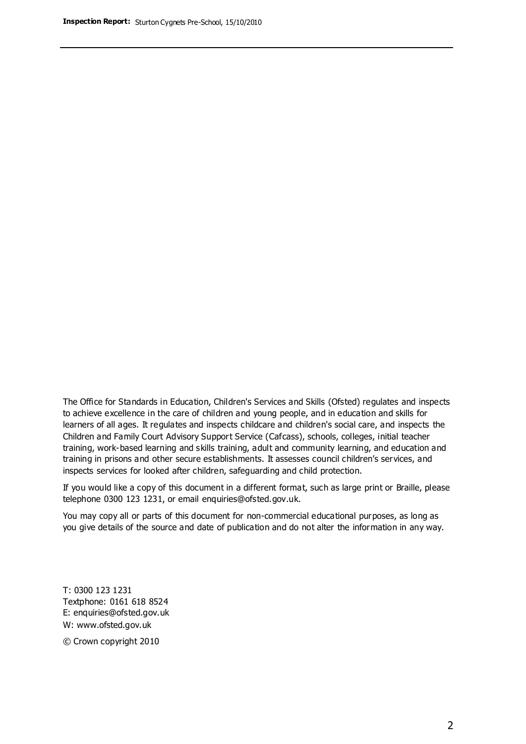The Office for Standards in Education, Children's Services and Skills (Ofsted) regulates and inspects to achieve excellence in the care of children and young people, and in education and skills for learners of all ages. It regulates and inspects childcare and children's social care, and inspects the Children and Family Court Advisory Support Service (Cafcass), schools, colleges, initial teacher training, work-based learning and skills training, adult and community learning, and education and training in prisons and other secure establishments. It assesses council children's services, and inspects services for looked after children, safeguarding and child protection.

If you would like a copy of this document in a different format, such as large print or Braille, please telephone 0300 123 1231, or email enquiries@ofsted.gov.uk.

You may copy all or parts of this document for non-commercial educational purposes, as long as you give details of the source and date of publication and do not alter the information in any way.

T: 0300 123 1231 Textphone: 0161 618 8524 E: enquiries@ofsted.gov.uk W: [www.ofsted.gov.uk](http://www.ofsted.gov.uk/)

© Crown copyright 2010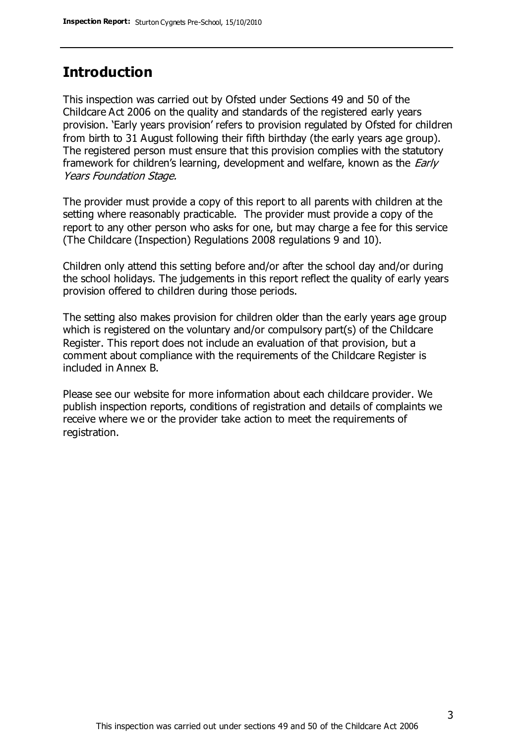### **Introduction**

This inspection was carried out by Ofsted under Sections 49 and 50 of the Childcare Act 2006 on the quality and standards of the registered early years provision. 'Early years provision' refers to provision regulated by Ofsted for children from birth to 31 August following their fifth birthday (the early years age group). The registered person must ensure that this provision complies with the statutory framework for children's learning, development and welfare, known as the *Early* Years Foundation Stage.

The provider must provide a copy of this report to all parents with children at the setting where reasonably practicable. The provider must provide a copy of the report to any other person who asks for one, but may charge a fee for this service (The Childcare (Inspection) Regulations 2008 regulations 9 and 10).

Children only attend this setting before and/or after the school day and/or during the school holidays. The judgements in this report reflect the quality of early years provision offered to children during those periods.

The setting also makes provision for children older than the early years age group which is registered on the voluntary and/or compulsory part(s) of the Childcare Register. This report does not include an evaluation of that provision, but a comment about compliance with the requirements of the Childcare Register is included in Annex B.

Please see our website for more information about each childcare provider. We publish inspection reports, conditions of registration and details of complaints we receive where we or the provider take action to meet the requirements of registration.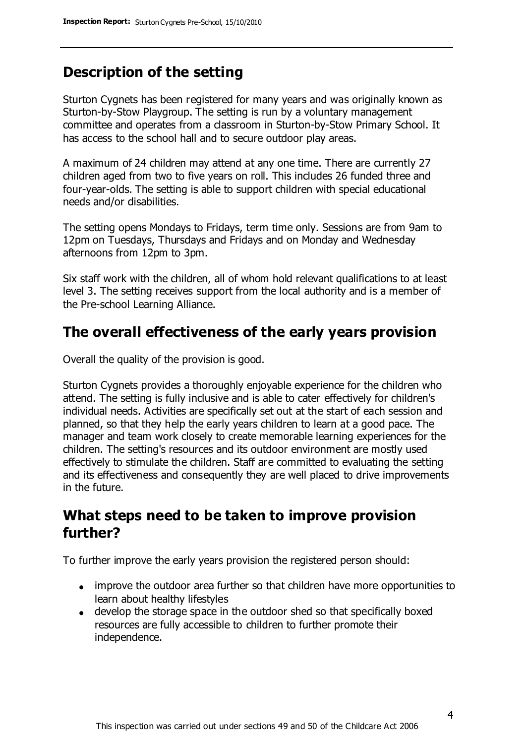### **Description of the setting**

Sturton Cygnets has been registered for many years and was originally known as Sturton-by-Stow Playgroup. The setting is run by a voluntary management committee and operates from a classroom in Sturton-by-Stow Primary School. It has access to the school hall and to secure outdoor play areas.

A maximum of 24 children may attend at any one time. There are currently 27 children aged from two to five years on roll. This includes 26 funded three and four-year-olds. The setting is able to support children with special educational needs and/or disabilities.

The setting opens Mondays to Fridays, term time only. Sessions are from 9am to 12pm on Tuesdays, Thursdays and Fridays and on Monday and Wednesday afternoons from 12pm to 3pm.

Six staff work with the children, all of whom hold relevant qualifications to at least level 3. The setting receives support from the local authority and is a member of the Pre-school Learning Alliance.

### **The overall effectiveness of the early years provision**

Overall the quality of the provision is good.

Sturton Cygnets provides a thoroughly enjoyable experience for the children who attend. The setting is fully inclusive and is able to cater effectively for children's individual needs. Activities are specifically set out at the start of each session and planned, so that they help the early years children to learn at a good pace. The manager and team work closely to create memorable learning experiences for the children. The setting's resources and its outdoor environment are mostly used effectively to stimulate the children. Staff are committed to evaluating the setting and its effectiveness and consequently they are well placed to drive improvements in the future.

### **What steps need to be taken to improve provision further?**

To further improve the early years provision the registered person should:

- improve the outdoor area further so that children have more opportunities to learn about healthy lifestyles
- develop the storage space in the outdoor shed so that specifically boxed resources are fully accessible to children to further promote their independence.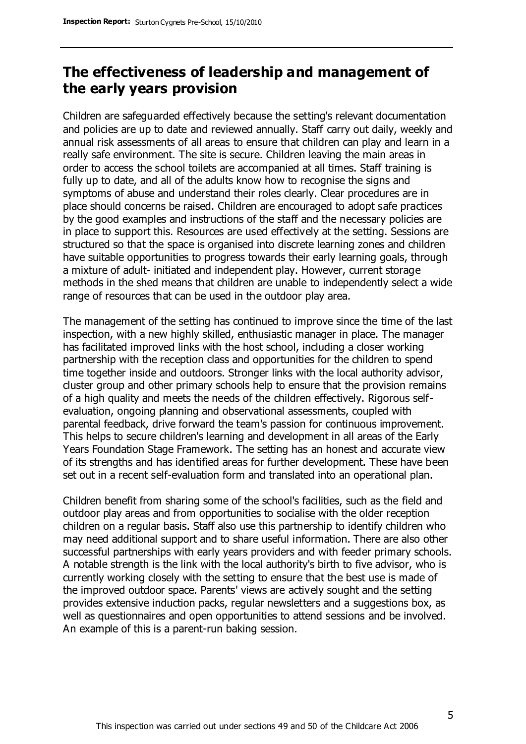### **The effectiveness of leadership and management of the early years provision**

Children are safeguarded effectively because the setting's relevant documentation and policies are up to date and reviewed annually. Staff carry out daily, weekly and annual risk assessments of all areas to ensure that children can play and learn in a really safe environment. The site is secure. Children leaving the main areas in order to access the school toilets are accompanied at all times. Staff training is fully up to date, and all of the adults know how to recognise the signs and symptoms of abuse and understand their roles clearly. Clear procedures are in place should concerns be raised. Children are encouraged to adopt safe practices by the good examples and instructions of the staff and the necessary policies are in place to support this. Resources are used effectively at the setting. Sessions are structured so that the space is organised into discrete learning zones and children have suitable opportunities to progress towards their early learning goals, through a mixture of adult- initiated and independent play. However, current storage methods in the shed means that children are unable to independently select a wide range of resources that can be used in the outdoor play area.

The management of the setting has continued to improve since the time of the last inspection, with a new highly skilled, enthusiastic manager in place. The manager has facilitated improved links with the host school, including a closer working partnership with the reception class and opportunities for the children to spend time together inside and outdoors. Stronger links with the local authority advisor, cluster group and other primary schools help to ensure that the provision remains of a high quality and meets the needs of the children effectively. Rigorous selfevaluation, ongoing planning and observational assessments, coupled with parental feedback, drive forward the team's passion for continuous improvement. This helps to secure children's learning and development in all areas of the Early Years Foundation Stage Framework. The setting has an honest and accurate view of its strengths and has identified areas for further development. These have been set out in a recent self-evaluation form and translated into an operational plan.

Children benefit from sharing some of the school's facilities, such as the field and outdoor play areas and from opportunities to socialise with the older reception children on a regular basis. Staff also use this partnership to identify children who may need additional support and to share useful information. There are also other successful partnerships with early years providers and with feeder primary schools. A notable strength is the link with the local authority's birth to five advisor, who is currently working closely with the setting to ensure that the best use is made of the improved outdoor space. Parents' views are actively sought and the setting provides extensive induction packs, regular newsletters and a suggestions box, as well as questionnaires and open opportunities to attend sessions and be involved. An example of this is a parent-run baking session.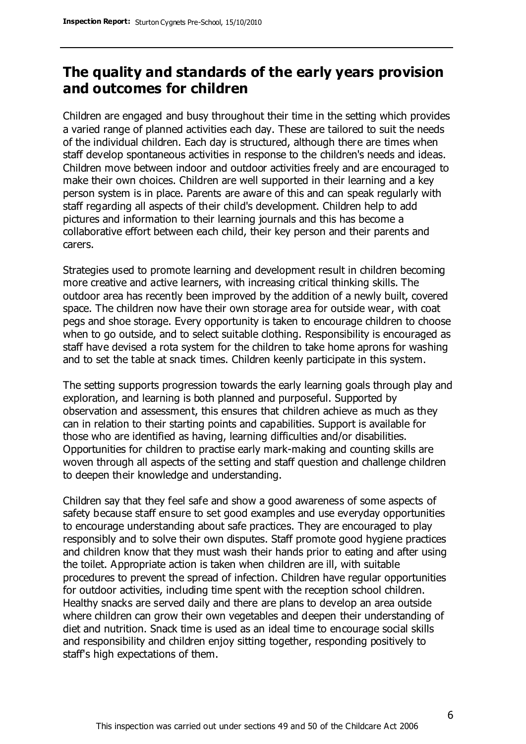### **The quality and standards of the early years provision and outcomes for children**

Children are engaged and busy throughout their time in the setting which provides a varied range of planned activities each day. These are tailored to suit the needs of the individual children. Each day is structured, although there are times when staff develop spontaneous activities in response to the children's needs and ideas. Children move between indoor and outdoor activities freely and are encouraged to make their own choices. Children are well supported in their learning and a key person system is in place. Parents are aware of this and can speak regularly with staff regarding all aspects of their child's development. Children help to add pictures and information to their learning journals and this has become a collaborative effort between each child, their key person and their parents and carers.

Strategies used to promote learning and development result in children becoming more creative and active learners, with increasing critical thinking skills. The outdoor area has recently been improved by the addition of a newly built, covered space. The children now have their own storage area for outside wear, with coat pegs and shoe storage. Every opportunity is taken to encourage children to choose when to go outside, and to select suitable clothing. Responsibility is encouraged as staff have devised a rota system for the children to take home aprons for washing and to set the table at snack times. Children keenly participate in this system.

The setting supports progression towards the early learning goals through play and exploration, and learning is both planned and purposeful. Supported by observation and assessment, this ensures that children achieve as much as they can in relation to their starting points and capabilities. Support is available for those who are identified as having, learning difficulties and/or disabilities. Opportunities for children to practise early mark-making and counting skills are woven through all aspects of the setting and staff question and challenge children to deepen their knowledge and understanding.

Children say that they feel safe and show a good awareness of some aspects of safety because staff ensure to set good examples and use everyday opportunities to encourage understanding about safe practices. They are encouraged to play responsibly and to solve their own disputes. Staff promote good hygiene practices and children know that they must wash their hands prior to eating and after using the toilet. Appropriate action is taken when children are ill, with suitable procedures to prevent the spread of infection. Children have regular opportunities for outdoor activities, including time spent with the reception school children. Healthy snacks are served daily and there are plans to develop an area outside where children can grow their own vegetables and deepen their understanding of diet and nutrition. Snack time is used as an ideal time to encourage social skills and responsibility and children enjoy sitting together, responding positively to staff's high expectations of them.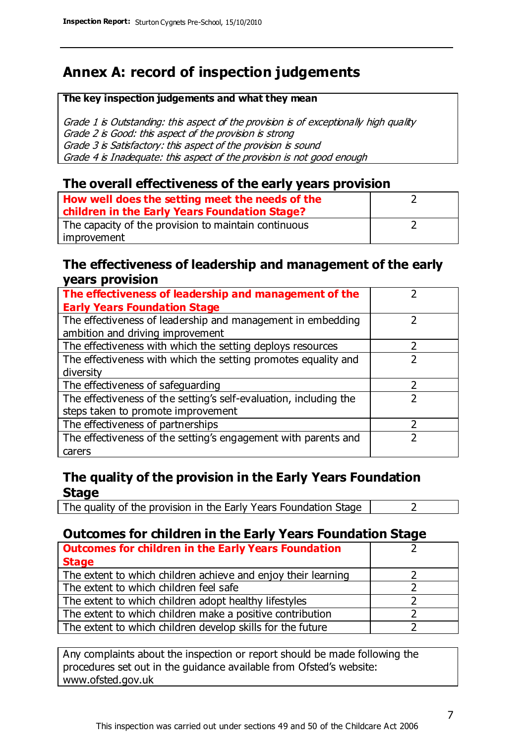### **Annex A: record of inspection judgements**

#### **The key inspection judgements and what they mean**

Grade 1 is Outstanding: this aspect of the provision is of exceptionally high quality Grade 2 is Good: this aspect of the provision is strong Grade 3 is Satisfactory: this aspect of the provision is sound Grade 4 is Inadequate: this aspect of the provision is not good enough

#### **The overall effectiveness of the early years provision**

| How well does the setting meet the needs of the<br>children in the Early Years Foundation Stage? |  |
|--------------------------------------------------------------------------------------------------|--|
| The capacity of the provision to maintain continuous                                             |  |
| improvement                                                                                      |  |

#### **The effectiveness of leadership and management of the early years provision**

| The effectiveness of leadership and management of the             |  |
|-------------------------------------------------------------------|--|
| <b>Early Years Foundation Stage</b>                               |  |
| The effectiveness of leadership and management in embedding       |  |
| ambition and driving improvement                                  |  |
| The effectiveness with which the setting deploys resources        |  |
| The effectiveness with which the setting promotes equality and    |  |
| diversity                                                         |  |
| The effectiveness of safeguarding                                 |  |
| The effectiveness of the setting's self-evaluation, including the |  |
| steps taken to promote improvement                                |  |
| The effectiveness of partnerships                                 |  |
| The effectiveness of the setting's engagement with parents and    |  |
| carers                                                            |  |

#### **The quality of the provision in the Early Years Foundation Stage**

The quality of the provision in the Early Years Foundation Stage  $\vert$  2

#### **Outcomes for children in the Early Years Foundation Stage**

| <b>Outcomes for children in the Early Years Foundation</b>    |  |
|---------------------------------------------------------------|--|
| <b>Stage</b>                                                  |  |
| The extent to which children achieve and enjoy their learning |  |
| The extent to which children feel safe                        |  |
| The extent to which children adopt healthy lifestyles         |  |
| The extent to which children make a positive contribution     |  |
| The extent to which children develop skills for the future    |  |

Any complaints about the inspection or report should be made following the procedures set out in the guidance available from Ofsted's website: www.ofsted.gov.uk